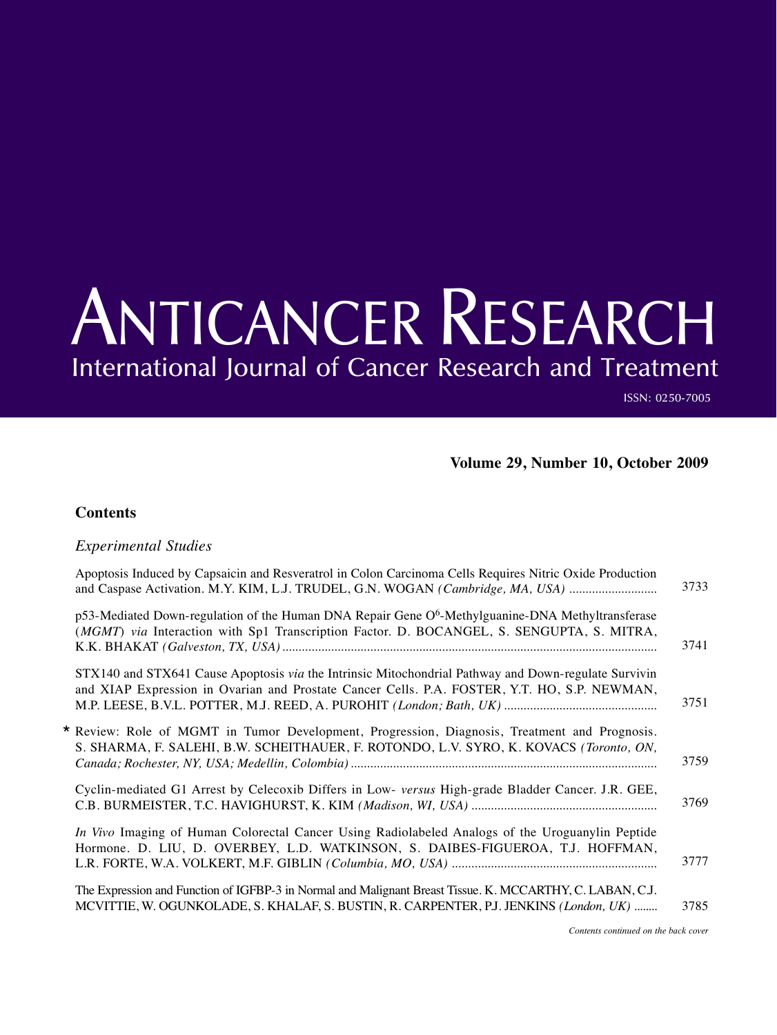## ANTICANCER RESEARCH International Journal of Cancer Research and Treatment

ISSN: 0250-7005

### **Volume 29, Number 10, October 2009**

#### **Contents**

#### *Experimental Studies*

| Apoptosis Induced by Capsaicin and Resveratrol in Colon Carcinoma Cells Requires Nitric Oxide Production<br>and Caspase Activation. M.Y. KIM, L.J. TRUDEL, G.N. WOGAN (Cambridge, MA, USA)           | 3733 |
|------------------------------------------------------------------------------------------------------------------------------------------------------------------------------------------------------|------|
| p53-Mediated Down-regulation of the Human DNA Repair Gene $O6$ -Methylguanine-DNA Methyltransferase<br>(MGMT) via Interaction with Sp1 Transcription Factor. D. BOCANGEL, S. SENGUPTA, S. MITRA,     | 3741 |
| STX140 and STX641 Cause Apoptosis via the Intrinsic Mitochondrial Pathway and Down-regulate Survivin<br>and XIAP Expression in Ovarian and Prostate Cancer Cells. P.A. FOSTER, Y.T. HO, S.P. NEWMAN, | 3751 |
| * Review: Role of MGMT in Tumor Development, Progression, Diagnosis, Treatment and Prognosis.<br>S. SHARMA, F. SALEHI, B.W. SCHEITHAUER, F. ROTONDO, L.V. SYRO, K. KOVACS (Toronto, ON,              | 3759 |
| Cyclin-mediated G1 Arrest by Celecoxib Differs in Low- versus High-grade Bladder Cancer. J.R. GEE,                                                                                                   | 3769 |
| In Vivo Imaging of Human Colorectal Cancer Using Radiolabeled Analogs of the Uroguanylin Peptide<br>Hormone. D. LIU, D. OVERBEY, L.D. WATKINSON, S. DAIBES-FIGUEROA, T.J. HOFFMAN,                   | 3777 |
| The Expression and Function of IGFBP-3 in Normal and Malignant Breast Tissue. K. MCCARTHY, C. LABAN, C.J.<br>MCVITTIE, W. OGUNKOLADE, S. KHALAF, S. BUSTIN, R. CARPENTER, P.J. JENKINS (London, UK)  | 3785 |
|                                                                                                                                                                                                      |      |

*Contents continued on the back cover*